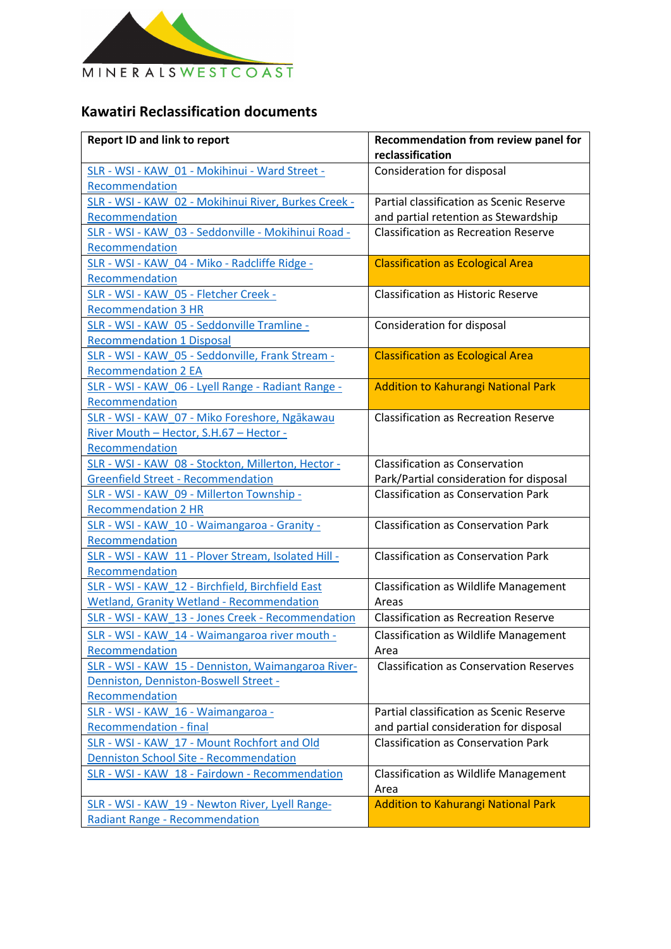

## **Kawatiri Reclassification documents**

| <b>Report ID and link to report</b>                                                                               | Recommendation from review panel for<br>reclassification                           |
|-------------------------------------------------------------------------------------------------------------------|------------------------------------------------------------------------------------|
| SLR - WSI - KAW 01 - Mokihinui - Ward Street -<br>Recommendation                                                  | <b>Consideration for disposal</b>                                                  |
| SLR - WSI - KAW 02 - Mokihinui River, Burkes Creek -<br>Recommendation                                            | Partial classification as Scenic Reserve<br>and partial retention as Stewardship   |
| SLR - WSI - KAW 03 - Seddonville - Mokihinui Road -<br>Recommendation                                             | <b>Classification as Recreation Reserve</b>                                        |
| SLR - WSI - KAW 04 - Miko - Radcliffe Ridge -<br>Recommendation                                                   | <b>Classification as Ecological Area</b>                                           |
| SLR - WSI - KAW 05 - Fletcher Creek -<br><b>Recommendation 3 HR</b>                                               | <b>Classification as Historic Reserve</b>                                          |
| SLR - WSI - KAW 05 - Seddonville Tramline -<br><b>Recommendation 1 Disposal</b>                                   | Consideration for disposal                                                         |
| SLR - WSI - KAW 05 - Seddonville, Frank Stream -<br><b>Recommendation 2 EA</b>                                    | <b>Classification as Ecological Area</b>                                           |
| SLR - WSI - KAW 06 - Lyell Range - Radiant Range -<br>Recommendation                                              | Addition to Kahurangi National Park                                                |
| SLR - WSI - KAW 07 - Miko Foreshore, Ngākawau<br>River Mouth - Hector, S.H.67 - Hector -                          | <b>Classification as Recreation Reserve</b>                                        |
| Recommendation<br>SLR - WSI - KAW 08 - Stockton, Millerton, Hector -<br><b>Greenfield Street - Recommendation</b> | <b>Classification as Conservation</b><br>Park/Partial consideration for disposal   |
| SLR - WSI - KAW 09 - Millerton Township -<br><b>Recommendation 2 HR</b>                                           | <b>Classification as Conservation Park</b>                                         |
| SLR - WSI - KAW 10 - Waimangaroa - Granity -<br>Recommendation                                                    | <b>Classification as Conservation Park</b>                                         |
| SLR - WSI - KAW 11 - Plover Stream, Isolated Hill -<br>Recommendation                                             | <b>Classification as Conservation Park</b>                                         |
| SLR - WSI - KAW 12 - Birchfield, Birchfield East<br><b>Wetland, Granity Wetland - Recommendation</b>              | <b>Classification as Wildlife Management</b><br>Areas                              |
| SLR - WSI - KAW 13 - Jones Creek - Recommendation                                                                 | <b>Classification as Recreation Reserve</b>                                        |
| SLR - WSI - KAW 14 - Waimangaroa river mouth -<br>Recommendation                                                  | <b>Classification as Wildlife Management</b><br>Area                               |
| SLR - WSI - KAW 15 - Denniston, Waimangaroa River-<br>Denniston, Denniston-Boswell Street -<br>Recommendation     | <b>Classification as Conservation Reserves</b>                                     |
| SLR - WSI - KAW_16 - Waimangaroa -<br><b>Recommendation - final</b>                                               | Partial classification as Scenic Reserve<br>and partial consideration for disposal |
| SLR - WSI - KAW_17 - Mount Rochfort and Old<br>Denniston School Site - Recommendation                             | <b>Classification as Conservation Park</b>                                         |
| SLR - WSI - KAW_18 - Fairdown - Recommendation                                                                    | <b>Classification as Wildlife Management</b><br>Area                               |
| SLR - WSI - KAW_19 - Newton River, Lyell Range-<br><b>Radiant Range - Recommendation</b>                          | <b>Addition to Kahurangi National Park</b>                                         |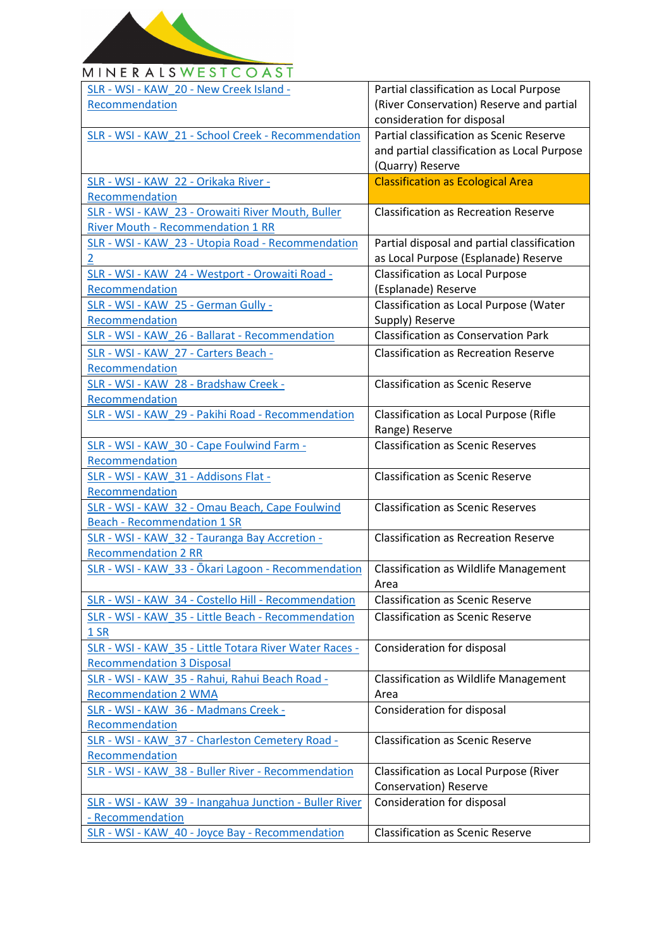

## MINERALSWESTCOAST

| SLR - WSI - KAW 20 - New Creek Island -                | Partial classification as Local Purpose       |
|--------------------------------------------------------|-----------------------------------------------|
| Recommendation                                         | (River Conservation) Reserve and partial      |
|                                                        | consideration for disposal                    |
| SLR - WSI - KAW 21 - School Creek - Recommendation     | Partial classification as Scenic Reserve      |
|                                                        | and partial classification as Local Purpose   |
|                                                        | (Quarry) Reserve                              |
| SLR - WSI - KAW 22 - Orikaka River -                   | <b>Classification as Ecological Area</b>      |
| Recommendation                                         |                                               |
| SLR - WSI - KAW 23 - Orowaiti River Mouth, Buller      | <b>Classification as Recreation Reserve</b>   |
| <b>River Mouth - Recommendation 1 RR</b>               |                                               |
| SLR - WSI - KAW 23 - Utopia Road - Recommendation      | Partial disposal and partial classification   |
| $\overline{2}$                                         | as Local Purpose (Esplanade) Reserve          |
| SLR - WSI - KAW 24 - Westport - Orowaiti Road -        | <b>Classification as Local Purpose</b>        |
| Recommendation                                         | (Esplanade) Reserve                           |
| SLR - WSI - KAW 25 - German Gully -                    | Classification as Local Purpose (Water        |
| Recommendation                                         | Supply) Reserve                               |
| SLR - WSI - KAW 26 - Ballarat - Recommendation         | <b>Classification as Conservation Park</b>    |
| SLR - WSI - KAW 27 - Carters Beach -                   | <b>Classification as Recreation Reserve</b>   |
| Recommendation                                         |                                               |
| SLR - WSI - KAW 28 - Bradshaw Creek -                  | <b>Classification as Scenic Reserve</b>       |
| Recommendation                                         |                                               |
| SLR - WSI - KAW 29 - Pakihi Road - Recommendation      | Classification as Local Purpose (Rifle        |
|                                                        | Range) Reserve                                |
| SLR - WSI - KAW 30 - Cape Foulwind Farm -              | <b>Classification as Scenic Reserves</b>      |
| Recommendation                                         |                                               |
| SLR - WSI - KAW 31 - Addisons Flat -                   | <b>Classification as Scenic Reserve</b>       |
| Recommendation                                         |                                               |
| SLR - WSI - KAW 32 - Omau Beach, Cape Foulwind         | <b>Classification as Scenic Reserves</b>      |
| <b>Beach - Recommendation 1 SR</b>                     |                                               |
| SLR - WSI - KAW 32 - Tauranga Bay Accretion -          | <b>Classification as Recreation Reserve</b>   |
| <b>Recommendation 2 RR</b>                             |                                               |
| SLR - WSI - KAW 33 - Ōkari Lagoon - Recommendation     | <b>Classification as Wildlife Management</b>  |
|                                                        | Area                                          |
| SLR - WSI - KAW 34 - Costello Hill - Recommendation    | <b>Classification as Scenic Reserve</b>       |
| SLR - WSI - KAW 35 - Little Beach - Recommendation     | <b>Classification as Scenic Reserve</b>       |
| 1 SR                                                   |                                               |
| SLR - WSI - KAW 35 - Little Totara River Water Races - | Consideration for disposal                    |
| <b>Recommendation 3 Disposal</b>                       |                                               |
| SLR - WSI - KAW 35 - Rahui, Rahui Beach Road -         | <b>Classification as Wildlife Management</b>  |
| <b>Recommendation 2 WMA</b>                            | Area                                          |
| SLR - WSI - KAW 36 - Madmans Creek -                   | Consideration for disposal                    |
| Recommendation                                         |                                               |
| SLR - WSI - KAW_37 - Charleston Cemetery Road -        | <b>Classification as Scenic Reserve</b>       |
| Recommendation                                         |                                               |
| SLR - WSI - KAW 38 - Buller River - Recommendation     | <b>Classification as Local Purpose (River</b> |
|                                                        | Conservation) Reserve                         |
| SLR - WSI - KAW 39 - Inangahua Junction - Buller River | Consideration for disposal                    |
| - Recommendation                                       |                                               |
| SLR - WSI - KAW 40 - Joyce Bay - Recommendation        | <b>Classification as Scenic Reserve</b>       |